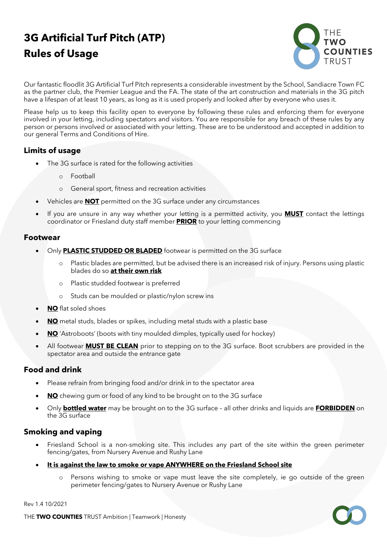# **3G Artificial Turf Pitch (ATP) Rules of Usage**



Our fantastic floodlit 3G Artificial Turf Pitch represents a considerable investment by the School, Sandiacre Town FC as the partner club, the Premier League and the FA. The state of the art construction and materials in the 3G pitch have a lifespan of at least 10 years, as long as it is used properly and looked after by everyone who uses it.

Please help us to keep this facility open to everyone by following these rules and enforcing them for everyone involved in your letting, including spectators and visitors. You are responsible for any breach of these rules by any person or persons involved or associated with your letting. These are to be understood and accepted in addition to our general Terms and Conditions of Hire.

# **Limits of usage**

- The 3G surface is rated for the following activities
	- o Football
	- o General sport, fitness and recreation activities
- Vehicles are **NOT** permitted on the 3G surface under any circumstances
- If you are unsure in any way whether your letting is a permitted activity, you **MUST** contact the lettings coordinator or Friesland duty staff member **PRIOR** to your letting commencing

#### **Footwear**

- Only **PLASTIC STUDDED OR BLADED** footwear is permitted on the 3G surface
	- o Plastic blades are permitted, but be advised there is an increased risk of injury. Persons using plastic blades do so **at their own risk**
	- o Plastic studded footwear is preferred
	- o Studs can be moulded or plastic/nylon screw ins
- **NO** flat soled shoes
- **NO** metal studs, blades or spikes, including metal studs with a plastic base
- **NO** 'Astroboots' (boots with tiny moulded dimples, typically used for hockey)
- All footwear **MUST BE CLEAN** prior to stepping on to the 3G surface. Boot scrubbers are provided in the spectator area and outside the entrance gate

#### **Food and drink**

- Please refrain from bringing food and/or drink in to the spectator area
- **NO** chewing gum or food of any kind to be brought on to the 3G surface
- Only **bottled water** may be brought on to the 3G surface all other drinks and liquids are **FORBIDDEN** on the 3G surface

#### **Smoking and vaping**

- Friesland School is a non-smoking site. This includes any part of the site within the green perimeter fencing/gates, from Nursery Avenue and Rushy Lane
- **It is against the law to smoke or vape ANYWHERE on the Friesland School site**
	- o Persons wishing to smoke or vape must leave the site completely, ie go outside of the green perimeter fencing/gates to Nursery Avenue or Rushy Lane

Rev 1.4 10/2021

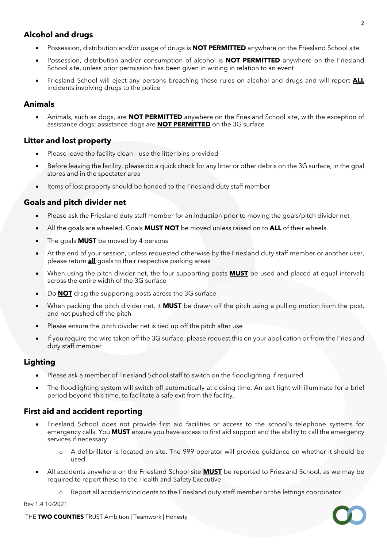# **Alcohol and drugs**

- Possession, distribution and/or usage of drugs is **NOT PERMITTED** anywhere on the Friesland School site
- Possession, distribution and/or consumption of alcohol is **NOT PERMITTED** anywhere on the Friesland School site, unless prior permission has been given in writing in relation to an event
- Friesland School will eject any persons breaching these rules on alcohol and drugs and will report **ALL** incidents involving drugs to the police

#### **Animals**

• Animals, such as dogs, are **NOT PERMITTED** anywhere on the Friesland School site, with the exception of assistance dogs; assistance dogs are **NOT PERMITTED** on the 3G surface

# **Litter and lost property**

- Please leave the facility clean use the litter bins provided
- Before leaving the facility, please do a quick check for any litter or other debris on the 3G surface, in the goal stores and in the spectator area
- Items of lost property should be handed to the Friesland duty staff member

# **Goals and pitch divider net**

- Please ask the Friesland duty staff member for an induction prior to moving the goals/pitch divider net
- All the goals are wheeled. Goals **MUST NOT** be moved unless raised on to **ALL** of their wheels
- The goals **MUST** be moved by 4 persons
- At the end of your session, unless requested otherwise by the Friesland duty staff member or another user, please return **all** goals to their respective parking areas
- When using the pitch divider net, the four supporting posts **MUST** be used and placed at equal intervals across the entire width of the 3G surface
- Do **NOT** drag the supporting posts across the 3G surface
- When packing the pitch divider net, it **MUST** be drawn off the pitch using a pulling motion from the post, and not pushed off the pitch
- Please ensure the pitch divider net is tied up off the pitch after use
- If you require the wire taken off the 3G surface, please request this on your application or from the Friesland duty staff member

# **Lighting**

- Please ask a member of Friesland School staff to switch on the floodlighting if required
- The floodlighting system will switch off automatically at closing time. An exit light will illuminate for a brief period beyond this time, to facilitate a safe exit from the facility.

# **First aid and accident reporting**

- Friesland School does not provide first aid facilities or access to the school's telephone systems for emergency calls. You **MUST** ensure you have access to first aid support and the ability to call the emergency services if necessary
	- o A defibrillator is located on site. The 999 operator will provide guidance on whether it should be used
- All accidents anywhere on the Friesland School site **MUST** be reported to Friesland School, as we may be required to report these to the Health and Safety Executive
	- o Report all accidents/incidents to the Friesland duty staff member or the lettings coordinator

Rev 1.4 10/2021